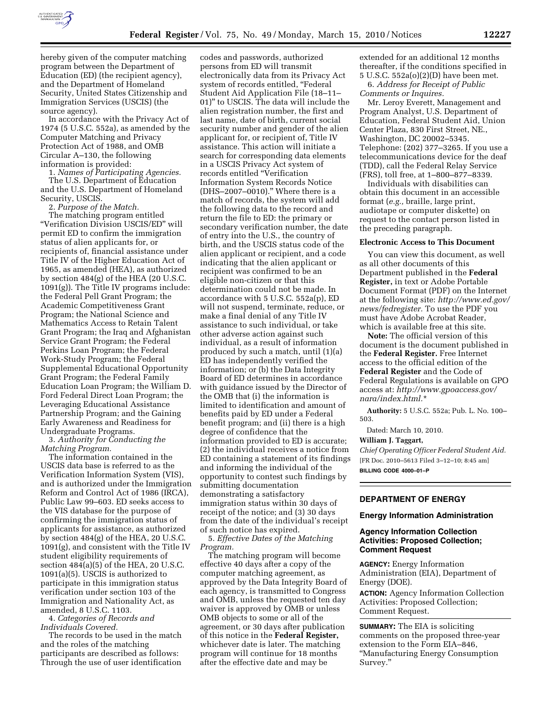

hereby given of the computer matching program between the Department of Education (ED) (the recipient agency), and the Department of Homeland Security, United States Citizenship and Immigration Services (USCIS) (the source agency).

In accordance with the Privacy Act of 1974 (5 U.S.C. 552a), as amended by the Computer Matching and Privacy Protection Act of 1988, and OMB Circular A–130, the following information is provided:

1. *Names of Participating Agencies.*  The U.S. Department of Education and the U.S. Department of Homeland Security, USCIS.

2. *Purpose of the Match.* 

The matching program entitled ''Verification Division USCIS/ED'' will permit ED to confirm the immigration status of alien applicants for, or recipients of, financial assistance under Title IV of the Higher Education Act of 1965, as amended (HEA), as authorized by section 484(g) of the HEA (20 U.S.C. 1091(g)). The Title IV programs include: the Federal Pell Grant Program; the Academic Competitiveness Grant Program; the National Science and Mathematics Access to Retain Talent Grant Program; the Iraq and Afghanistan Service Grant Program; the Federal Perkins Loan Program; the Federal Work-Study Program; the Federal Supplemental Educational Opportunity Grant Program; the Federal Family Education Loan Program; the William D. Ford Federal Direct Loan Program; the Leveraging Educational Assistance Partnership Program; and the Gaining Early Awareness and Readiness for Undergraduate Programs.

3. *Authority for Conducting the Matching Program.* 

The information contained in the USCIS data base is referred to as the Verification Information System (VIS), and is authorized under the Immigration Reform and Control Act of 1986 (IRCA), Public Law 99–603. ED seeks access to the VIS database for the purpose of confirming the immigration status of applicants for assistance, as authorized by section 484(g) of the HEA, 20 U.S.C. 1091(g), and consistent with the Title IV student eligibility requirements of section 484(a)(5) of the HEA, 20 U.S.C. 1091(a)(5). USCIS is authorized to participate in this immigration status verification under section 103 of the Immigration and Nationality Act, as amended, 8 U.S.C. 1103.

4. *Categories of Records and Individuals Covered.* 

The records to be used in the match and the roles of the matching participants are described as follows: Through the use of user identification

codes and passwords, authorized persons from ED will transmit electronically data from its Privacy Act system of records entitled, ''Federal Student Aid Application File (18–11– 01)'' to USCIS. The data will include the alien registration number, the first and last name, date of birth, current social security number and gender of the alien applicant for, or recipient of, Title IV assistance. This action will initiate a search for corresponding data elements in a USCIS Privacy Act system of records entitled ''Verification Information System Records Notice (DHS–2007–0010).'' Where there is a match of records, the system will add the following data to the record and return the file to ED: the primary or secondary verification number, the date of entry into the U.S., the country of birth, and the USCIS status code of the alien applicant or recipient, and a code indicating that the alien applicant or recipient was confirmed to be an eligible non-citizen or that this determination could not be made. In accordance with 5 U.S.C. 552a(p), ED will not suspend, terminate, reduce, or make a final denial of any Title IV assistance to such individual, or take other adverse action against such individual, as a result of information produced by such a match, until (1)(a) ED has independently verified the information; or (b) the Data Integrity Board of ED determines in accordance with guidance issued by the Director of the OMB that (i) the information is limited to identification and amount of benefits paid by ED under a Federal benefit program; and (ii) there is a high degree of confidence that the information provided to ED is accurate; (2) the individual receives a notice from ED containing a statement of its findings and informing the individual of the opportunity to contest such findings by submitting documentation demonstrating a satisfactory immigration status within 30 days of receipt of the notice; and (3) 30 days from the date of the individual's receipt of such notice has expired.

5. *Effective Dates of the Matching Program.* 

The matching program will become effective 40 days after a copy of the computer matching agreement, as approved by the Data Integrity Board of each agency, is transmitted to Congress and OMB, unless the requested ten day waiver is approved by OMB or unless OMB objects to some or all of the agreement, or 30 days after publication of this notice in the **Federal Register,**  whichever date is later. The matching program will continue for 18 months after the effective date and may be

extended for an additional 12 months thereafter, if the conditions specified in 5 U.S.C. 552a(o)(2)(D) have been met.

6. *Address for Receipt of Public Comments or Inquires.* 

Mr. Leroy Everett, Management and Program Analyst, U.S. Department of Education, Federal Student Aid, Union Center Plaza, 830 First Street, NE., Washington, DC 20002–5345. Telephone: (202) 377–3265. If you use a telecommunications device for the deaf (TDD), call the Federal Relay Service (FRS), toll free, at 1–800–877–8339.

Individuals with disabilities can obtain this document in an accessible format (*e.g.,* braille, large print, audiotape or computer diskette) on request to the contact person listed in the preceding paragraph.

## **Electronic Access to This Document**

You can view this document, as well as all other documents of this Department published in the **Federal Register,** in text or Adobe Portable Document Format (PDF) on the Internet at the following site: *http://www.ed.gov/ news/fedregister.* To use the PDF you must have Adobe Acrobat Reader, which is available free at this site.

**Note:** The official version of this document is the document published in the **Federal Register.** Free Internet access to the official edition of the **Federal Register** and the Code of Federal Regulations is available on GPO access at: *http://www.gpoaccess.gov/ nara/index.html.*\*

**Authority:** 5 U.S.C. 552a; Pub. L. No. 100– 503.

Dated: March 10, 2010.

#### **William J. Taggart,**

*Chief Operating Officer Federal Student Aid.*  [FR Doc. 2010–5613 Filed 3–12–10; 8:45 am] **BILLING CODE 4000–01–P** 

# **DEPARTMENT OF ENERGY**

## **Energy Information Administration**

## **Agency Information Collection Activities: Proposed Collection; Comment Request**

**AGENCY:** Energy Information Administration (EIA), Department of Energy (DOE).

**ACTION:** Agency Information Collection Activities: Proposed Collection; Comment Request.

**SUMMARY:** The EIA is soliciting comments on the proposed three-year extension to the Form EIA–846, ''Manufacturing Energy Consumption Survey.''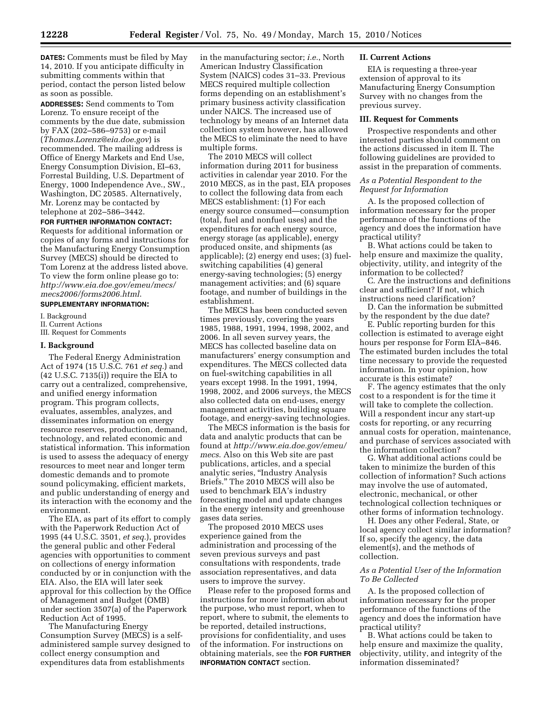**DATES:** Comments must be filed by May 14, 2010. If you anticipate difficulty in submitting comments within that period, contact the person listed below as soon as possible.

**ADDRESSES:** Send comments to Tom Lorenz. To ensure receipt of the comments by the due date, submission by FAX (202–586–9753) or e-mail (*Thomas.Lorenz@eia.doe.gov*) is recommended. The mailing address is Office of Energy Markets and End Use, Energy Consumption Division, EI–63, Forrestal Building, U.S. Department of Energy, 1000 Independence Ave., SW., Washington, DC 20585. Alternatively, Mr. Lorenz may be contacted by telephone at 202–586–3442.

# **FOR FURTHER INFORMATION CONTACT:**  Requests for additional information or copies of any forms and instructions for the Manufacturing Energy Consumption Survey (MECS) should be directed to Tom Lorenz at the address listed above. To view the form online please go to: *http://www.eia.doe.gov/emeu/mecs/ mecs2006/forms2006.html*.

## **SUPPLEMENTARY INFORMATION:**

I. Background II. Current Actions III. Request for Comments

## **I. Background**

The Federal Energy Administration Act of 1974 (15 U.S.C. 761 *et seq.*) and (42 U.S.C. 7135(i)) require the EIA to carry out a centralized, comprehensive, and unified energy information program. This program collects, evaluates, assembles, analyzes, and disseminates information on energy resource reserves, production, demand, technology, and related economic and statistical information. This information is used to assess the adequacy of energy resources to meet near and longer term domestic demands and to promote sound policymaking, efficient markets, and public understanding of energy and its interaction with the economy and the environment.

The EIA, as part of its effort to comply with the Paperwork Reduction Act of 1995 (44 U.S.C. 3501, *et seq.*), provides the general public and other Federal agencies with opportunities to comment on collections of energy information conducted by or in conjunction with the EIA. Also, the EIA will later seek approval for this collection by the Office of Management and Budget (OMB) under section 3507(a) of the Paperwork Reduction Act of 1995.

The Manufacturing Energy Consumption Survey (MECS) is a selfadministered sample survey designed to collect energy consumption and expenditures data from establishments

in the manufacturing sector; *i.e.*, North American Industry Classification System (NAICS) codes 31–33. Previous MECS required multiple collection forms depending on an establishment's primary business activity classification under NAICS. The increased use of technology by means of an Internet data collection system however, has allowed the MECS to eliminate the need to have multiple forms.

The 2010 MECS will collect information during 2011 for business activities in calendar year 2010. For the 2010 MECS, as in the past, EIA proposes to collect the following data from each MECS establishment: (1) For each energy source consumed—consumption (total, fuel and nonfuel uses) and the expenditures for each energy source, energy storage (as applicable), energy produced onsite, and shipments (as applicable); (2) energy end uses; (3) fuelswitching capabilities (4) general energy-saving technologies; (5) energy management activities; and (6) square footage, and number of buildings in the establishment.

The MECS has been conducted seven times previously, covering the years 1985, 1988, 1991, 1994, 1998, 2002, and 2006. In all seven survey years, the MECS has collected baseline data on manufacturers' energy consumption and expenditures. The MECS collected data on fuel-switching capabilities in all years except 1998. In the 1991, 1994, 1998, 2002, and 2006 surveys, the MECS also collected data on end-uses, energy management activities, building square footage, and energy-saving technologies.

The MECS information is the basis for data and analytic products that can be found at *http://www.eia.doe.gov/emeu/ mecs*. Also on this Web site are past publications, articles, and a special analytic series, ''Industry Analysis Briefs.'' The 2010 MECS will also be used to benchmark EIA's industry forecasting model and update changes in the energy intensity and greenhouse gases data series.

The proposed 2010 MECS uses experience gained from the administration and processing of the seven previous surveys and past consultations with respondents, trade association representatives, and data users to improve the survey.

Please refer to the proposed forms and instructions for more information about the purpose, who must report, when to report, where to submit, the elements to be reported, detailed instructions, provisions for confidentiality, and uses of the information. For instructions on obtaining materials, see the **FOR FURTHER INFORMATION CONTACT** section.

# **II. Current Actions**

EIA is requesting a three-year extension of approval to its Manufacturing Energy Consumption Survey with no changes from the previous survey.

## **III. Request for Comments**

Prospective respondents and other interested parties should comment on the actions discussed in item II. The following guidelines are provided to assist in the preparation of comments.

# *As a Potential Respondent to the Request for Information*

A. Is the proposed collection of information necessary for the proper performance of the functions of the agency and does the information have practical utility?

B. What actions could be taken to help ensure and maximize the quality, objectivity, utility, and integrity of the information to be collected?

C. Are the instructions and definitions clear and sufficient? If not, which instructions need clarification?

D. Can the information be submitted by the respondent by the due date?

E. Public reporting burden for this collection is estimated to average eight hours per response for Form EIA–846. The estimated burden includes the total time necessary to provide the requested information. In your opinion, how accurate is this estimate?

F. The agency estimates that the only cost to a respondent is for the time it will take to complete the collection. Will a respondent incur any start-up costs for reporting, or any recurring annual costs for operation, maintenance, and purchase of services associated with the information collection?

G. What additional actions could be taken to minimize the burden of this collection of information? Such actions may involve the use of automated, electronic, mechanical, or other technological collection techniques or other forms of information technology.

H. Does any other Federal, State, or local agency collect similar information? If so, specify the agency, the data element(s), and the methods of collection.

# *As a Potential User of the Information To Be Collected*

A. Is the proposed collection of information necessary for the proper performance of the functions of the agency and does the information have practical utility?

B. What actions could be taken to help ensure and maximize the quality, objectivity, utility, and integrity of the information disseminated?